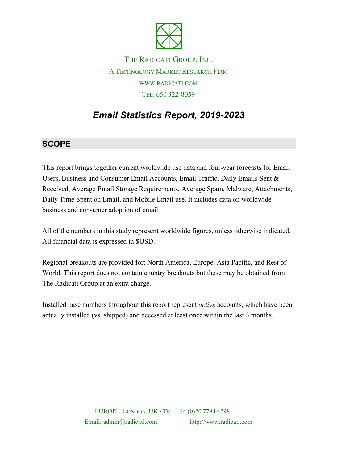

THE RADICATI GROUP, INC. A TECHNOLOGY MARKET RESEARCH FIRM WWW.RADICATI.COM TEL. 650 322-8059

# *Email Statistics Report, 2019-2023*

### **SCOPE**

This report brings together current worldwide use data and four-year forecasts for Email Users, Business and Consumer Email Accounts, Email Traffic, Daily Emails Sent & Received, Average Email Storage Requirements, Average Spam, Malware, Attachments, Daily Time Spent on Email, and Mobile Email use. It includes data on worldwide business and consumer adoption of email.

All of the numbers in this study represent worldwide figures, unless otherwise indicated. All financial data is expressed in \$USD.

Regional breakouts are provided for: North America, Europe, Asia Pacific, and Rest of World. This report does not contain country breakouts but these may be obtained from The Radicati Group at an extra charge.

Installed base numbers throughout this report represent *active* accounts, which have been actually installed (vs. shipped) and accessed at least once within the last 3 months.

> EUROPE: LONDON, UK • TEL. +44 (0)20 7794 4298 Email: admin@radicati.com http://www.radicati.com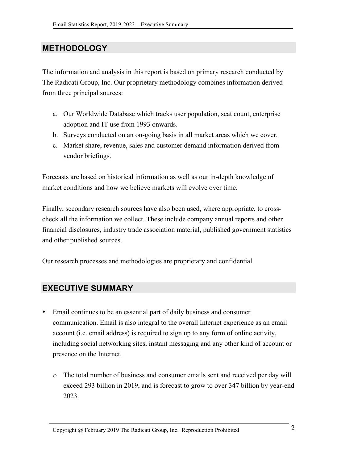## **METHODOLOGY**

The information and analysis in this report is based on primary research conducted by The Radicati Group, Inc. Our proprietary methodology combines information derived from three principal sources:

- a. Our Worldwide Database which tracks user population, seat count, enterprise adoption and IT use from 1993 onwards.
- b. Surveys conducted on an on-going basis in all market areas which we cover.
- c. Market share, revenue, sales and customer demand information derived from vendor briefings.

Forecasts are based on historical information as well as our in-depth knowledge of market conditions and how we believe markets will evolve over time.

Finally, secondary research sources have also been used, where appropriate, to crosscheck all the information we collect. These include company annual reports and other financial disclosures, industry trade association material, published government statistics and other published sources.

Our research processes and methodologies are proprietary and confidential.

### **EXECUTIVE SUMMARY**

- Email continues to be an essential part of daily business and consumer communication. Email is also integral to the overall Internet experience as an email account (i.e. email address) is required to sign up to any form of online activity, including social networking sites, instant messaging and any other kind of account or presence on the Internet.
	- o The total number of business and consumer emails sent and received per day will exceed 293 billion in 2019, and is forecast to grow to over 347 billion by year-end 2023.